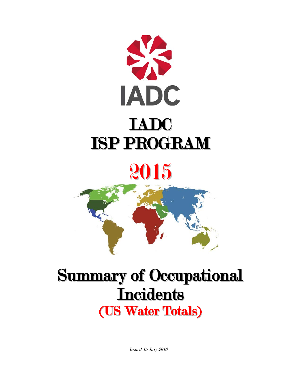

# 2015



# Summary of Occupational **Incidents** (US Water Totals)

Issued 15 July 2016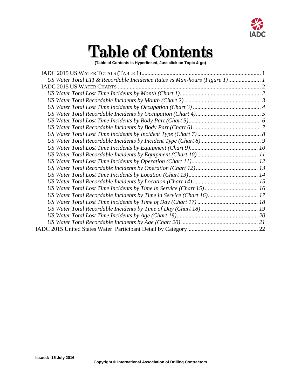

# Table of Contents

**(Table of Contents is Hyperlinked, Just click on Topic & go)**

| US Water Total LTI & Recordable Incidence Rates vs Man-hours (Figure 1) 1 |  |
|---------------------------------------------------------------------------|--|
|                                                                           |  |
|                                                                           |  |
|                                                                           |  |
|                                                                           |  |
|                                                                           |  |
|                                                                           |  |
|                                                                           |  |
|                                                                           |  |
|                                                                           |  |
|                                                                           |  |
|                                                                           |  |
|                                                                           |  |
|                                                                           |  |
|                                                                           |  |
|                                                                           |  |
|                                                                           |  |
| US Water Total Recordable Incidents by Time in Service (Chart 16) 17      |  |
|                                                                           |  |
|                                                                           |  |
|                                                                           |  |
|                                                                           |  |
|                                                                           |  |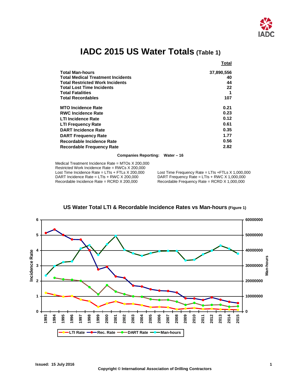

## **IADC 2015 US Water Totals (Table 1)**

<span id="page-2-0"></span>

|                                          | Total      |
|------------------------------------------|------------|
| <b>Total Man-hours</b>                   | 37,890,556 |
| <b>Total Medical Treatment Incidents</b> | 40         |
| <b>Total Restricted Work Incidents</b>   | 44         |
| <b>Total Lost Time Incidents</b>         | 22         |
| <b>Total Fatalities</b>                  |            |
| <b>Total Recordables</b>                 | 107        |
| <b>MTO Incidence Rate</b>                | 0.21       |
| <b>RWC Incidence Rate</b>                | 0.23       |
| <b>LTI Incidence Rate</b>                | 0.12       |
| <b>LTI Frequency Rate</b>                | 0.61       |
| <b>DART Incidence Rate</b>               | 0.35       |
| <b>DART Frequency Rate</b>               | 1.77       |
| Recordable Incidence Rate                | 0.56       |
| <b>Recordable Frequency Rate</b>         | 2.82       |

### **Companies Reporting: Water – 16**

Medical Treatment Incidence Rate = MTOs X 200,000 Restricted Work Incidence Rate = RWCs X 200,000<br>Lost Time Incidence Rate = LTIs + FTLs X 200,000 Lost Time Incidence Rate = LTIs + FTLs X 200,000 Lost Time Frequency Rate = LTIs + FTLs X 1,000,000<br>DART Incidence Rate = LTIs + RWC X 200,000 DART Frequency Rate = LTIs + RWC X 1,000,000 DART Incidence Rate = LTIs + RWC X 200,000 DART Frequency Rate = LTIs + RWC X 1,000,000<br>Recordable Incidence Rate = RCRD X 200,000 Recordable Frequency Rate = RCRD X 1,000,000

Recordable Frequency Rate = RCRD  $X$  1,000,000

<span id="page-2-1"></span>

## **US Water Total LTI & Recordable Incidence Rates vs Man-hours (Figure 1)**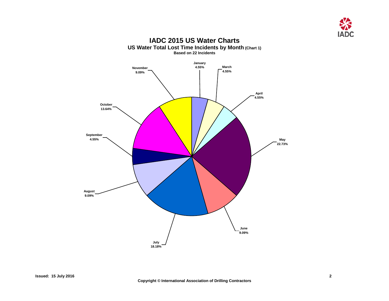

<span id="page-3-1"></span><span id="page-3-0"></span>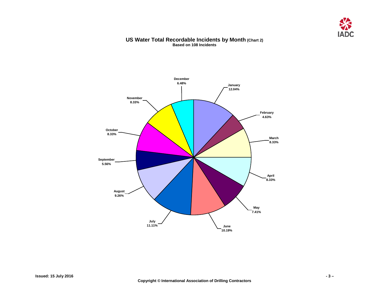

## **US Water Total Recordable Incidents by Month (Chart 2) Based on 108 Incidents**

<span id="page-4-0"></span>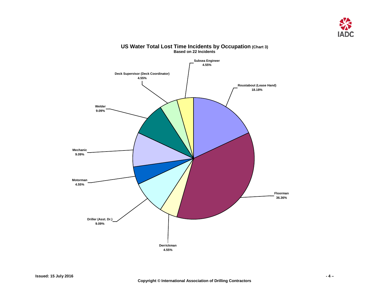

<span id="page-5-0"></span>

### **US Water Total Lost Time Incidents by Occupation (Chart 3) Based on 22 Incidents**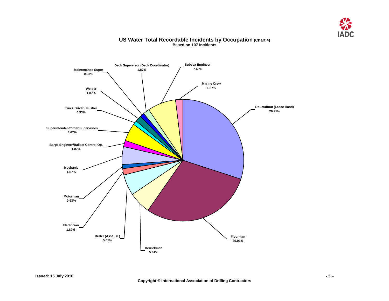

## **US Water Total Recordable Incidents by Occupation (Chart 4) Based on 107 Incidents**

<span id="page-6-0"></span>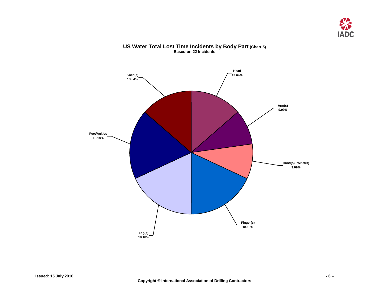

<span id="page-7-0"></span>

## **US Water Total Lost Time Incidents by Body Part (Chart 5) Based on 22 Incidents**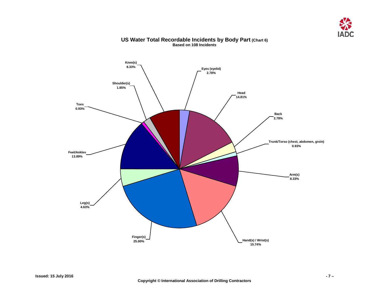

<span id="page-8-0"></span>

## **US Water Total Recordable Incidents by Body Part (Chart 6) Based on 108 Incidents**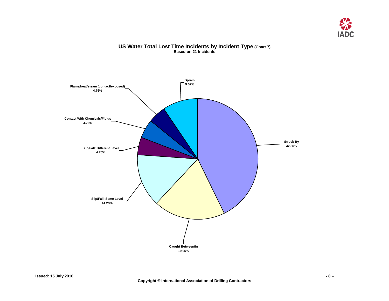

## **US Water Total Lost Time Incidents by Incident Type (Chart 7) Based on 21 Incidents**

<span id="page-9-0"></span>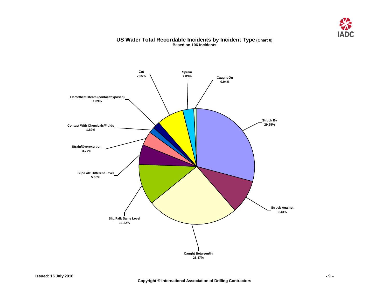

## **US Water Total Recordable Incidents by Incident Type (Chart 8) Based on 106 Incidents**

<span id="page-10-0"></span>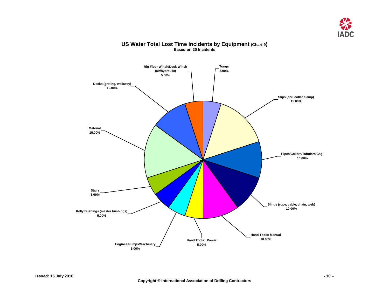

## <span id="page-11-0"></span>**Rig Floor Winch/Deck Winch (air/hydraulic) 5.00% Material 15.00% Decks (grating, walkway) 10.00% Stairs 5.00% Kelly Bushings (master bushings) 5.00% Hand Tools: Power Engines/Pumps/Machinery 5.00% Hand Tools: Manual 10.00% Slings (rope, cable, chain, web) 10.00% Pipes/Collars/Tubulars/Csg. 10.00% Slips (drill collar clamp) 15.00% Tongs 5.00%**

## **US Water Total Lost Time Incidents by Equipment (Chart 9) Based on 20 Incidents**

**5.00%**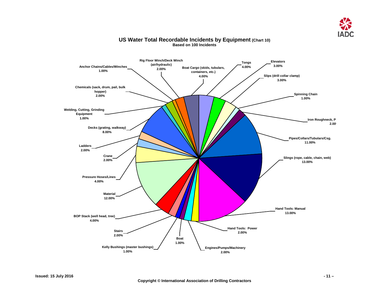

#### <span id="page-12-0"></span>**Boat Cargo (skids, tubulars, containers, etc.) 4.00% Rig Floor Winch/Deck Winch (air/hydraulic) 2.00% Anchor Chains/Cables/Winches 1.00% Chemicals (sack, drum, pail, bulk hopper) 2.00% Crane 2.00% Pressure Hoses/Lines 4.00% Material 12.00% BOP Stack (well head, tree) 4.00% Stairs 2.00% Hand Tools: Manual 13.00% Hand Tools: Power 2.00% Engines/Pumps/Machinery 2.00% Boat 1.00% Slings (rope, cable, chain, web) 13.00% Ladders 2.00% Decks (grating, walkway) 8.00% Welding, Cutting, Grinding Equipment 1.00% Kelly Bushings (master bushings) 1.00% Pipes/Collars/Tubulars/Csg. 11.00% Iron Roughneck, P 2.00% Slips (drill collar clamp) 3.00% Elevators 3.00% Tongs 4.00% Spinning Chain 1.00%**

## **US Water Total Recordable Incidents by Equipment (Chart 10) Based on 100 Incidents**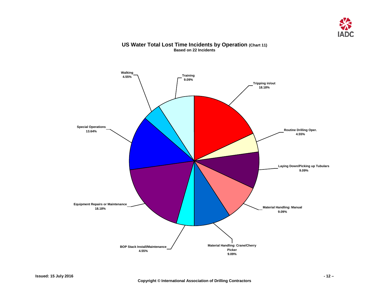

## <span id="page-13-0"></span>**Training 9.09% Walking 4.55% Special Operations 13.64% Equipment Repairs or Maintenance 18.18% BOP Stack Install/Maintenance 4.55% Tripping in/out 18.18% Routine Drilling Oper. 4.55% Laying Down/Picking up Tubulars 9.09% Material Handling: Manual 9.09% Material Handling: Crane/Cherry Picker 9.09%**

## **US Water Total Lost Time Incidents by Operation (Chart 11) Based on 22 Incidents**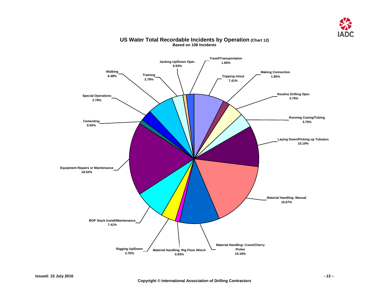

<span id="page-14-0"></span>

## **US Water Total Recordable Incidents by Operation (Chart 12) Based on 108 Incidents**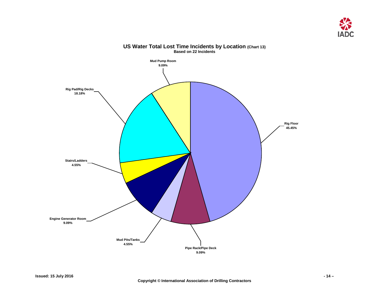

<span id="page-15-0"></span>

### **US Water Total Lost Time Incidents by Location (Chart 13) Based on 22 Incidents**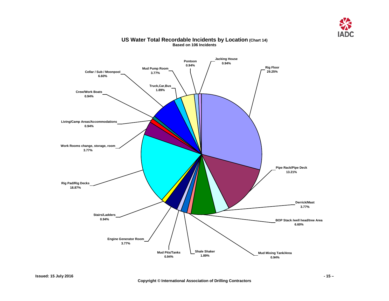

<span id="page-16-0"></span>

## **US Water Total Recordable Incidents by Location (Chart 14) Based on 106 Incidents**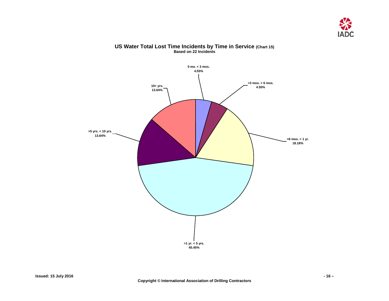

## <span id="page-17-0"></span>**10+ yrs. 13.64% >5 yrs. < 10 yrs. 13.64% >1 yr. < 5 yrs. 45.45% >6 mos. < 1 yr. 18.18% >3 mos. < 6 mos. 4.55% 0 mo. < 3 mos. 4.55%**

## **US Water Total Lost Time Incidents by Time in Service (Chart 15) Based on 22 Incidents**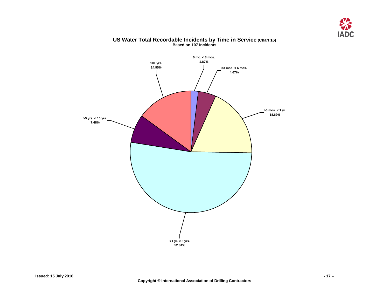

<span id="page-18-0"></span>

## **US Water Total Recordable Incidents by Time in Service (Chart 16) Based on 107 Incidents**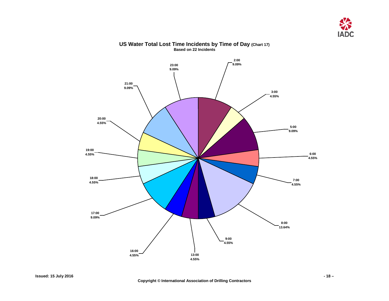

<span id="page-19-0"></span>

## **US Water Total Lost Time Incidents by Time of Day (Chart 17) Based on 22 Incidents**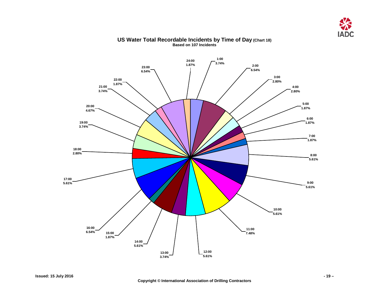

<span id="page-20-0"></span>

## **US Water Total Recordable Incidents by Time of Day (Chart 18) Based on 107 Incidents**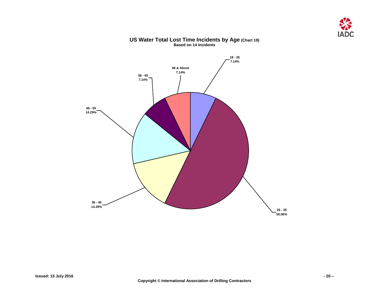



## **US Water Total Lost Time Incidents by Age (Chart 19) Based on 14 Incidents**